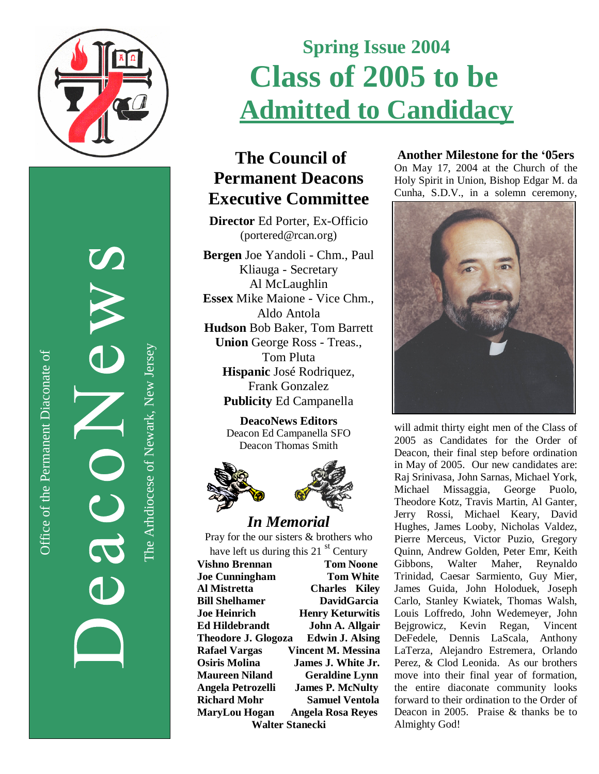

Office of the Permanent Diaconate of Office of the Permanent Diaconate of

The Arhdiocese of Newark, New JerseyThe Arhdiocese of Newark, New Jersey

# **Spring Issue 2004 C l a s s o f 2 0 0 5 t o b e <u>Admitted to Candidacy</u>**

## **The Council of Permanent Deacons** Executive Committee

Director Ed Porter, Ex-Officio (portered@rcan.org)

Bergen Joe Yandoli - Chm., Paul Kliauga - Secretary Al McLaughlin **Essex** Mike Maione - Vice Chm., Aldo Antola Hudson Bob Baker, Tom Barrett Union George Ross - Treas., Tom Pluta Hispanic José Rodriquez, Frank Gonzalez Publicity Ed Campanella

> **DeacoNews Editors** Deacon Ed Campanella SFO Deacon Thomas Smith



#### *In Me m o ria l*

Pray for the our sisters & brothers who have left us during this 21 st Century **Vishno Brennan Tom Noone Joe Cunningham Tom White Al Mistretta Charles** Kiley **Bill Shelhamer** DavidGarcia **Joe Heinrich Henry Keturwitis** Ed Hildebrandt **John A. Allgair Theodore J. Glogoza** Edwin J. Alsing **Rafael Vargas** Vincent M. Messina **Osiris Molina James J. White Jr. Maureen Niland Geraldine Lynn** Angela Petrozelli **James P. McNulty Richard Mohr Samuel Ventola** MaryLou Hogan Angela Rosa Reyes Walter Stanecki

#### **Another Milestone for the '05ers**

On May 17, 2004 at the Church of the Holy Spirit in Union, Bishop Edgar M. da Cunha, S.D.V., in a solemn ceremony,



will admit thirty eight men of the Class of 2005 as Candidates for the Order of Deacon, their final step before ordination in May of 2005. Our new candidates are: Raj Srinivasa, John Sarnas, Michael York, Michael Missaggia, George Puolo, Theodore Kotz, Travis Martin, Al Ganter, Jerry Rossi, Michael Keary, David Hughes, James Looby, Nicholas Valdez, Pierre Merceus, Victor Puzio, Gregory Quinn, Andrew Golden, Peter Emr, Keith Gibbons, Walter Maher, Reynaldo Trinidad, Caesar Sarmiento, Guy Mier, James Guida, John Holoduek, Joseph Carlo, Stanley Kwiatek, Thomas Walsh, Louis Loffredo, John Wedemeyer, John Bejgrowicz, Kevin Regan, Vincent DeFedele, Dennis LaScala, Anthony LaTerza, Alejandro Estremera, Orlando Perez, & Clod Leonida. As our brothers move into their final year of formation, the entire diaconate community looks forward to their ordination to the Order of Deacon in 2005. Praise & thanks be to Almighty God!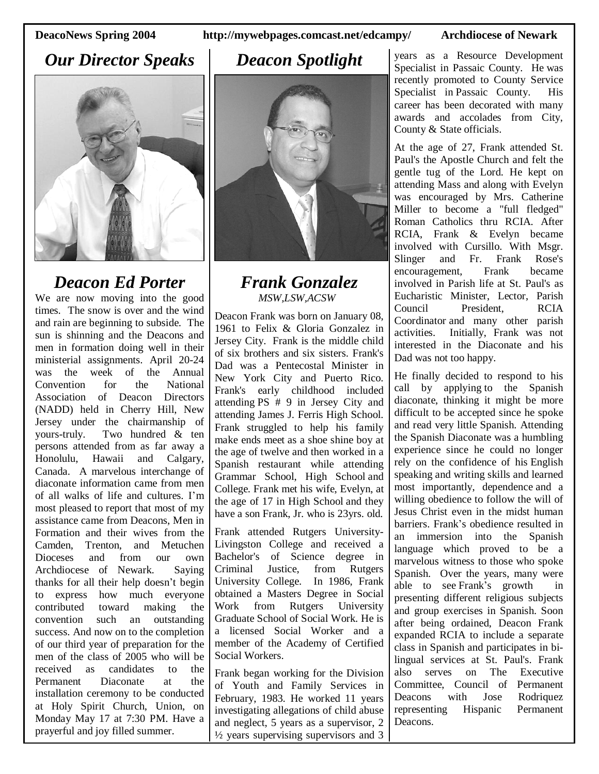### *Our Director Speaks*



### *Deacon Ed Porter*

We are now moving into the good times. The snow is over and the wind and rain are beginning to subside. The sun is shinning and the Deacons and men in formation doing well in their ministerial assignments. April 20-24 was the week of the Annual Convention for the National Association of Deacon Directors (NADD) held in Cherry Hill, New Jersey under the chairmanship of yours-truly. Two hundred & ten persons attended from as far away a Honolulu, Hawaii and Calgary, Canada. A marvelous interchange of diaconate information came from men of all walks of life and cultures. I'm most pleased to report that most of my assistance came from Deacons, Men in Formation and their wives from the Camden, Trenton, and Metuchen Dioceses and from our own Archdiocese of Newark. Saying thanks for all their help doesn't begin to express how much everyone contributed toward making the convention such an outstanding success. And now on to the completion of our third year of preparation for the men of the class of 2005 who will be received as candidates to the Permanent Diaconate at the installation ceremony to be conducted at Holy Spirit Church, Union, on Monday May 17 at 7:30 PM. Have a prayerful and joy filled summer.

#### **DeacoNews Spring 2004 http://mywebpages.comcast.net/edcampy/ Archdiocese of Newark**

### *Deacon Spotlight*



#### *Frank Gonzalez MSW,LSW,ACSW*

Deacon Frank was born on January 08, 1961 to Felix & Gloria Gonzalez in Jersey City. Frank is the middle child of six brothers and six sisters. Frank's Dad was a Pentecostal Minister in New York City and Puerto Rico. Frank's early childhood included attending PS # 9 in Jersey City and attending James J. Ferris High School. Frank struggled to help his family make ends meet as a shoe shine boy at the age of twelve and then worked in a Spanish restaurant while attending Grammar School, High School and College. Frank met his wife, Evelyn, at the age of 17 in High School and they have a son Frank, Jr. who is 23yrs. old.

Frank attended Rutgers University-Livingston College and received a Bachelor's of Science degree in Criminal Justice, from Rutgers University College. In 1986, Frank obtained a Masters Degree in Social Work from Rutgers University Graduate School of Social Work. He is a licensed Social Worker and a member of the Academy of Certified Social Workers.

Frank began working for the Division of Youth and Family Services in February, 1983. He worked 11 years investigating allegations of child abuse and neglect, 5 years as a supervisor, 2  $\frac{1}{2}$  years supervising supervisors and 3 years as a Resource Development Specialist in Passaic County. He was recently promoted to County Service Specialist in Passaic County. His career has been decorated with many awards and accolades from City, County & State officials.

At the age of 27, Frank attended St. Paul's the Apostle Church and felt the gentle tug of the Lord. He kept on attending Mass and along with Evelyn was encouraged by Mrs. Catherine Miller to become a "full fledged" Roman Catholics thru RCIA. After RCIA, Frank & Evelyn became involved with Cursillo. With Msgr. Slinger and Fr. Frank Rose's encouragement, Frank became involved in Parish life at St. Paul's as Eucharistic Minister, Lector, Parish Council President, RCIA Coordinator and many other parish activities. Initially, Frank was not interested in the Diaconate and his Dad was not too happy.

He finally decided to respond to his call by applying to the Spanish diaconate, thinking it might be more difficult to be accepted since he spoke and read very little Spanish. Attending the Spanish Diaconate was a humbling experience since he could no longer rely on the confidence of his English speaking and writing skills and learned most importantly, dependence and a willing obedience to follow the will of Jesus Christ even in the midst human barriers. Frank's obedience resulted in an immersion into the Spanish language which proved to be a marvelous witness to those who spoke Spanish. Over the years, many were able to see Frank's growth in presenting different religious subjects and group exercises in Spanish. Soon after being ordained, Deacon Frank expanded RCIA to include a separate class in Spanish and participates in bilingual services at St. Paul's. Frank also serves on The Executive Committee, Council of Permanent Deacons with Jose Rodriquez representing Hispanic Permanent Deacons.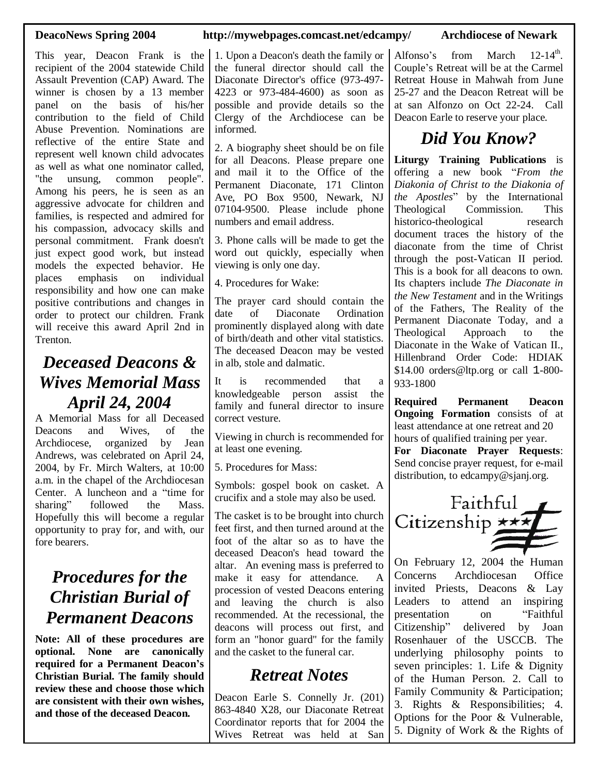This year, Deacon Frank is the recipient of the 2004 statewide Child Assault Prevention (CAP) Award. The winner is chosen by a 13 member panel on the basis of his/her contribution to the field of Child Abuse Prevention. Nominations are reflective of the entire State and represent well known child advocates as well as what one nominator called, "the unsung, common people". Among his peers, he is seen as an aggressive advocate for children and families, is respected and admired for his compassion, advocacy skills and personal commitment. Frank doesn't just expect good work, but instead models the expected behavior. He places emphasis on individual responsibility and how one can make positive contributions and changes in order to protect our children. Frank will receive this award April 2nd in Trenton.

## *Deceased Deacons & Wives Memorial Mass April 24, 2004*

A Memorial Mass for all Deceased Deacons and Wives, of the Archdiocese, organized by Jean Andrews, was celebrated on April 24, 2004, by Fr. Mirch Walters, at 10:00 a.m. in the chapel of the Archdiocesan Center. A luncheon and a "time for sharing" followed the Mass. Hopefully this will become a regular opportunity to pray for, and with, our fore bearers.

## *Procedures for the Christian Burial of Permanent Deacons*

**Note: All of these procedures are optional. None are canonically required for a Permanent Deacon's Christian Burial. The family should review these and choose those which are consistent with their own wishes, and those of the deceased Deacon.**

#### **DeacoNews Spring 2004 http://mywebpages.comcast.net/edcampy/ Archdiocese of Newark**

1. Upon a Deacon's death the family or the funeral director should call the Diaconate Director's office (973-497- 4223 or 973-484-4600) as soon as possible and provide details so the Clergy of the Archdiocese can be informed.

2. A biography sheet should be on file for all Deacons. Please prepare one and mail it to the Office of the Permanent Diaconate, 171 Clinton Ave, PO Box 9500, Newark, NJ 07104-9500. Please include phone numbers and email address.

3. Phone calls will be made to get the word out quickly, especially when viewing is only one day.

4. Procedures for Wake:

The prayer card should contain the date of Diaconate Ordination prominently displayed along with date of birth/death and other vital statistics. The deceased Deacon may be vested in alb, stole and dalmatic.

It is recommended that a knowledgeable person assist the family and funeral director to insure correct vesture.

Viewing in church is recommended for at least one evening.

5. Procedures for Mass:

Symbols: gospel book on casket. A crucifix and a stole may also be used.

The casket is to be brought into church feet first, and then turned around at the foot of the altar so as to have the deceased Deacon's head toward the altar. An evening mass is preferred to make it easy for attendance. A procession of vested Deacons entering and leaving the church is also recommended. At the recessional, the deacons will process out first, and form an "honor guard" for the family and the casket to the funeral car.

### *Retreat Notes*

Deacon Earle S. Connelly Jr. (201) 863-4840 X28, our Diaconate Retreat Coordinator reports that for 2004 the Wives Retreat was held at San

Alfonso's from March 12-14<sup>th</sup>. Couple's Retreat will be at the Carmel Retreat House in Mahwah from June 25-27 and the Deacon Retreat will be at san Alfonzo on Oct 22-24. Call Deacon Earle to reserve your place.

## *Did You Know?*

**Liturgy Training Publications** is offering a new book "*From the Diakonia of Christ to the Diakonia of the Apostles*" by the International Theological Commission. This historico-theological research document traces the history of the diaconate from the time of Christ through the post-Vatican II period. This is a book for all deacons to own. Its chapters include *The Diaconate in the New Testament* and in the Writings of the Fathers, The Reality of the Permanent Diaconate Today, and a Theological Approach to the Diaconate in the Wake of Vatican II., Hillenbrand Order Code: HDIAK \$14.00 orders@ltp.org or call 1-800- 933-1800

**Required Permanent Deacon Ongoing Formation** consists of at least attendance at one retreat and 20 hours of qualified training per year.

**For Diaconate Prayer Requests**: Send concise prayer request, for e-mail distribution, to edcampy@sjanj.org.



On February 12, 2004 the Human Concerns Archdiocesan Office invited Priests, Deacons & Lay Leaders to attend an inspiring presentation on "Faithful Citizenship" delivered by Joan Rosenhauer of the USCCB. The underlying philosophy points to seven principles: 1. Life & Dignity of the Human Person. 2. Call to Family Community & Participation; 3. Rights & Responsibilities; 4. Options for the Poor & Vulnerable, 5. Dignity of Work & the Rights of